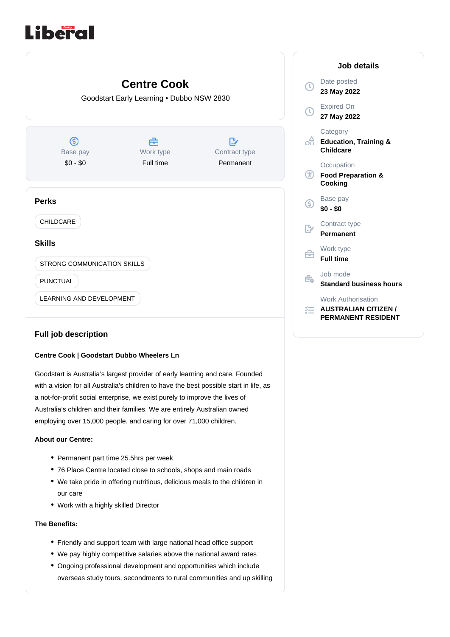# Liberal



## **Full job description**

### **Centre Cook | Goodstart Dubbo Wheelers Ln**

Goodstart is Australia's largest provider of early learning and care. Founded with a vision for all Australia's children to have the best possible start in life, as a not-for-profit social enterprise, we exist purely to improve the lives of Australia's children and their families. We are entirely Australian owned employing over 15,000 people, and caring for over 71,000 children.

#### **About our Centre:**

- Permanent part time 25.5hrs per week
- 76 Place Centre located close to schools, shops and main roads
- We take pride in offering nutritious, delicious meals to the children in our care
- Work with a highly skilled Director

#### **The Benefits:**

- Friendly and support team with large national head office support
- We pay highly competitive salaries above the national award rates
- Ongoing professional development and opportunities which include overseas study tours, secondments to rural communities and up skilling